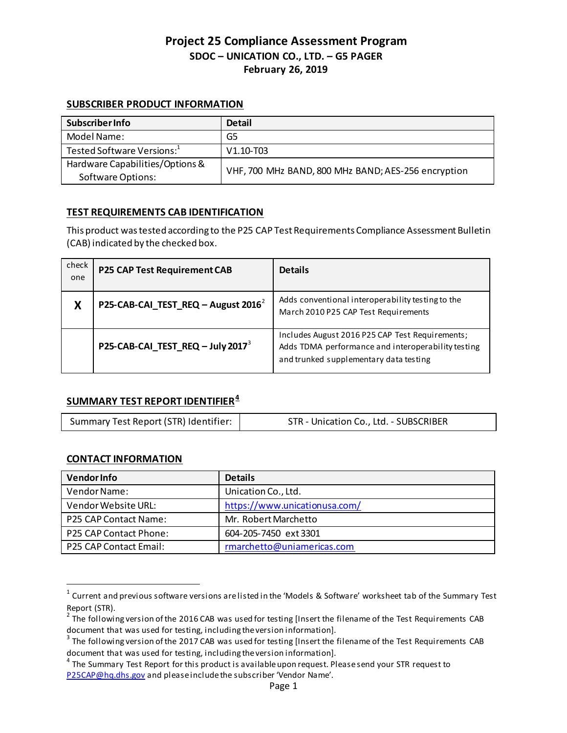# **SUBSCRIBER PRODUCT INFORMATION**

| <b>Subscriber Info</b>                 | <b>Detail</b>                                       |  |
|----------------------------------------|-----------------------------------------------------|--|
| Model Name:                            | G5                                                  |  |
| Tested Software Versions: <sup>1</sup> | $V1.10 - T03$                                       |  |
| Hardware Capabilities/Options &        |                                                     |  |
| <b>Software Options:</b>               | VHF, 700 MHz BAND, 800 MHz BAND; AES-256 encryption |  |

# **TEST REQUIREMENTS CAB IDENTIFICATION**

This product was tested according to the P25 CAP Test Requirements Compliance Assessment Bulletin (CAB) indicated by the checked box.

| check<br>one | P25 CAP Test Requirement CAB                  | <b>Details</b>                                                                                                                                  |
|--------------|-----------------------------------------------|-------------------------------------------------------------------------------------------------------------------------------------------------|
| Χ            | P25-CAB-CAI_TEST_REQ - August $2016^2$        | Adds conventional interoperability testing to the<br>March 2010 P25 CAP Test Requirements                                                       |
|              | P25-CAB-CAI_TEST_REQ - July 2017 <sup>3</sup> | Includes August 2016 P25 CAP Test Requirements;<br>Adds TDMA performance and interoperability testing<br>and trunked supplementary data testing |

# **SUMMARY TEST REPORT IDENTIFIER[4](#page-0-3)**

| Summary Test Report (STR) Identifier: | STR - Unication Co., Ltd. - SUBSCRIBER |
|---------------------------------------|----------------------------------------|
|                                       |                                        |

# **CONTACT INFORMATION**

| <b>Vendor Info</b>            | <b>Details</b>                |
|-------------------------------|-------------------------------|
| Vendor Name:                  | Unication Co., Ltd.           |
| Vendor Website URL:           | https://www.unicationusa.com/ |
| <b>P25 CAP Contact Name:</b>  | Mr. Robert Marchetto          |
| <b>P25 CAP Contact Phone:</b> | 604-205-7450 ext 3301         |
| <b>P25 CAP Contact Email:</b> | rmarchetto@uniamericas.com    |

<span id="page-0-0"></span> $1$  Current and previous software versions are listed in the 'Models & Software' worksheet tab of the Summary Test Report (STR).

<span id="page-0-1"></span> $2$  The following version of the 2016 CAB was used for testing [Insert the filename of the Test Requirements CAB

<span id="page-0-2"></span>document that was used for testing, including the version information].<br><sup>3</sup> The following version of the 2017 CAB was used for testing [Insert the filename of the Test Requirements CAB document that was used for testing, including the version information].<br><sup>4</sup> The Summary Test Report for this product is available upon request. Please send your STR request to

<span id="page-0-3"></span>[P25CAP@hq.dhs.gov](mailto:P25CAP@hq.dhs.gov) and please include the subscriber 'Vendor Name'.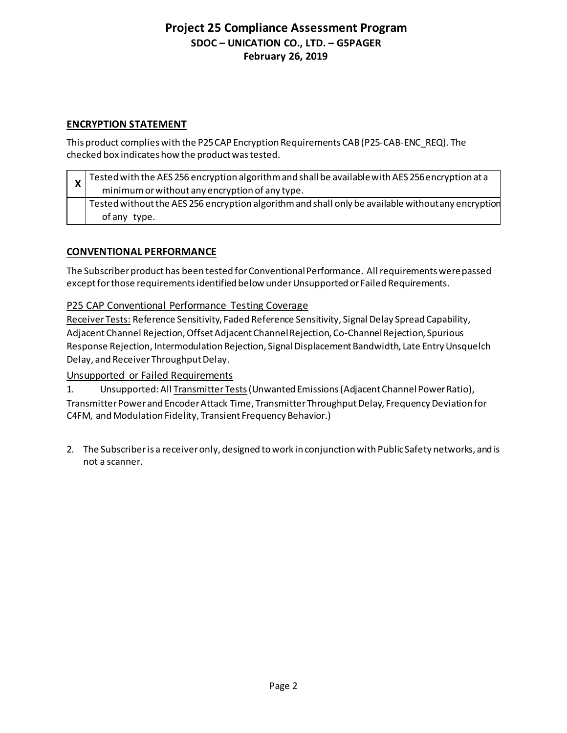# **ENCRYPTION STATEMENT**

This product complies with the P25 CAP Encryption Requirements CAB(P25-CAB-ENC\_REQ). The checked box indicates how the product was tested.

|                    | Tested with the AES 256 encryption algorithm and shall be available with AES 256 encryption at a   |
|--------------------|----------------------------------------------------------------------------------------------------|
| $\mathbf{\Lambda}$ | minimum or without any encryption of any type.                                                     |
|                    | Tested without the AES 256 encryption algorithm and shall only be available without any encryption |
|                    | of any type.                                                                                       |

# **CONVENTIONAL PERFORMANCE**

The Subscriber product has been tested for Conventional Performance. All requirements were passed except for those requirementsidentified below under Unsupported or Failed Requirements.

P25 CAP Conventional Performance Testing Coverage

Receiver Tests: Reference Sensitivity, Faded Reference Sensitivity, Signal Delay Spread Capability, Adjacent Channel Rejection, Offset Adjacent Channel Rejection, Co-Channel Rejection, Spurious Response Rejection, Intermodulation Rejection, Signal Displacement Bandwidth, Late Entry Unsquelch Delay, and Receiver Throughput Delay.

# Unsupported or Failed Requirements

1. Unsupported: All Transmitter Tests (Unwanted Emissions (Adjacent Channel Power Ratio), Transmitter Power and Encoder Attack Time, Transmitter Throughput Delay, Frequency Deviation for C4FM, and Modulation Fidelity, Transient Frequency Behavior.)

2. The Subscriber is a receiver only, designed to work in conjunction with Public Safety networks, and is not a scanner.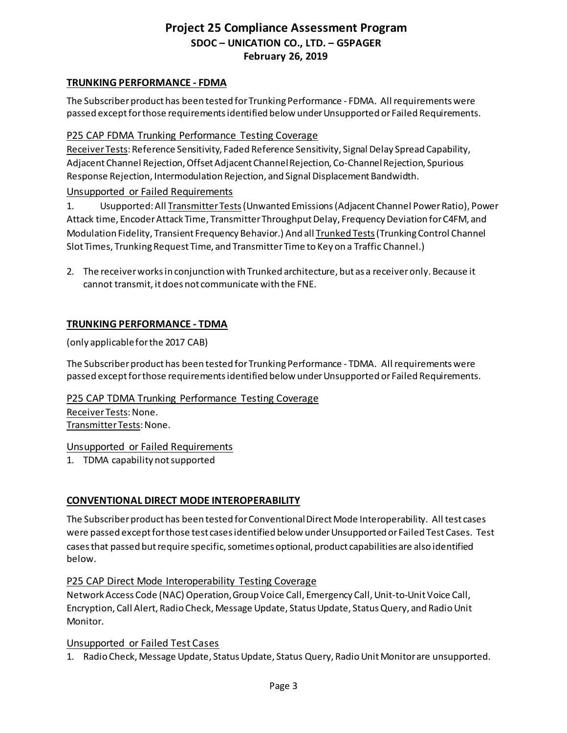#### **TRUNKING PERFORMANCE - FDMA**

The Subscriber product has been tested for Trunking Performance - FDMA. All requirements were passed except for those requirementsidentified below under Unsupported or Failed Requirements.

# P25 CAP FDMA Trunking Performance Testing Coverage

Receiver Tests: Reference Sensitivity, Faded Reference Sensitivity, Signal Delay Spread Capability, Adjacent Channel Rejection, Offset Adjacent Channel Rejection, Co-Channel Rejection, Spurious Response Rejection, Intermodulation Rejection, and Signal Displacement Bandwidth.

# Unsupported or Failed Requirements

1. Usupported: All Transmitter Tests (Unwanted Emissions (Adjacent Channel Power Ratio), Power Attack time, Encoder Attack Time, Transmitter Throughput Delay, Frequency Deviation for C4FM, and Modulation Fidelity, Transient Frequency Behavior.) And all Trunked Tests (Trunking Control Channel Slot Times, Trunking Request Time, and Transmitter Time to Key on a Traffic Channel.)

2. The receiver works in conjunction with Trunked architecture, but as a receiver only. Because it cannot transmit, it does not communicate with the FNE.

# **TRUNKING PERFORMANCE - TDMA**

(only applicable for the 2017 CAB)

The Subscriber product has been tested for Trunking Performance - TDMA. All requirements were passed except for those requirementsidentified below under Unsupported or Failed Requirements.

P25 CAP TDMA Trunking Performance Testing Coverage Receiver Tests: None.

Transmitter Tests: None.

# Unsupported or Failed Requirements

1. TDMA capability not supported

# **CONVENTIONAL DIRECT MODE INTEROPERABILITY**

The Subscriber product has been tested for Conventional Direct Mode Interoperability. All test cases were passed except for those test cases identified below under Unsupported or Failed Test Cases. Test cases that passed but require specific, sometimes optional, product capabilities are also identified below.

# P25 CAP Direct Mode Interoperability Testing Coverage

Network Access Code (NAC) Operation, Group Voice Call, Emergency Call, Unit-to-Unit Voice Call, Encryption, Call Alert, Radio Check, Message Update, Status Update, Status Query, and Radio Unit Monitor.

# Unsupported or Failed Test Cases

1. Radio Check, Message Update, Status Update, Status Query, Radio Unit Monitor are unsupported.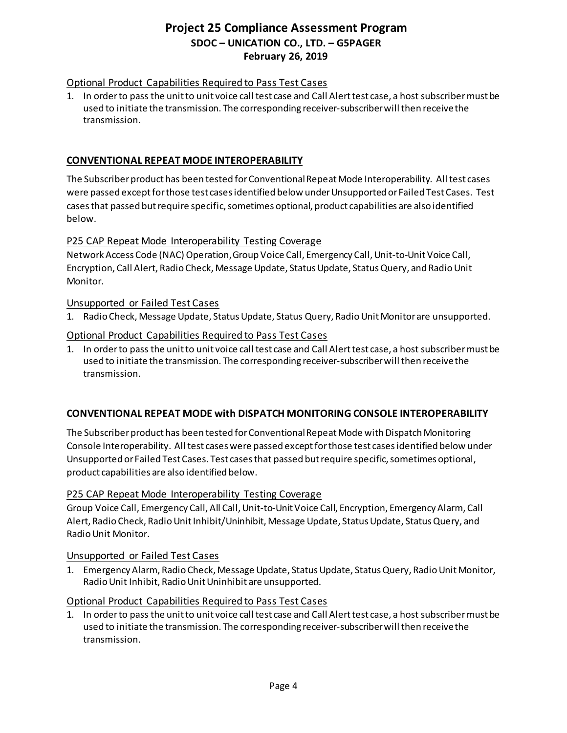# Optional Product Capabilities Required to Pass Test Cases

1. In order to pass the unit to unit voice call test case and Call Alert test case, a host subscriber must be used to initiate the transmission. The corresponding receiver-subscriber will then receive the transmission.

# **CONVENTIONAL REPEAT MODE INTEROPERABILITY**

The Subscriber product has been tested for Conventional Repeat Mode Interoperability. All test cases were passed except for those test cases identified below under Unsupported or Failed Test Cases. Test cases that passed but require specific, sometimes optional, product capabilities are also identified below.

# P25 CAP Repeat Mode Interoperability Testing Coverage

Network Access Code (NAC) Operation, Group Voice Call, Emergency Call, Unit-to-Unit Voice Call, Encryption, Call Alert, Radio Check, Message Update, Status Update, Status Query, and Radio Unit Monitor.

# Unsupported or Failed Test Cases

1. Radio Check, Message Update, Status Update, Status Query, Radio Unit Monitor are unsupported.

# Optional Product Capabilities Required to Pass Test Cases

1. In order to pass the unit to unit voice call test case and Call Alert test case, a host subscriber must be used to initiate the transmission. The corresponding receiver-subscriber will then receive the transmission.

# **CONVENTIONAL REPEAT MODE with DISPATCH MONITORING CONSOLE INTEROPERABILITY**

The Subscriber product has been tested for Conventional Repeat Mode with Dispatch Monitoring Console Interoperability. All test cases were passed except for those test cases identified below under Unsupported or Failed Test Cases. Test cases that passed but require specific, sometimes optional, product capabilities are also identified below.

# P25 CAP Repeat Mode Interoperability Testing Coverage

Group Voice Call, Emergency Call, All Call, Unit-to-UnitVoice Call, Encryption, Emergency Alarm, Call Alert, Radio Check, Radio Unit Inhibit/Uninhibit, Message Update, Status Update, Status Query, and Radio Unit Monitor.

# Unsupported or Failed Test Cases

1. Emergency Alarm, Radio Check, Message Update, Status Update, Status Query, Radio Unit Monitor, Radio Unit Inhibit, Radio Unit Uninhibit are unsupported.

# Optional Product Capabilities Required to Pass Test Cases

1. In order to pass the unit to unit voice call test case and Call Alert test case, a host subscriber must be used to initiate the transmission. The corresponding receiver-subscriber will then receive the transmission.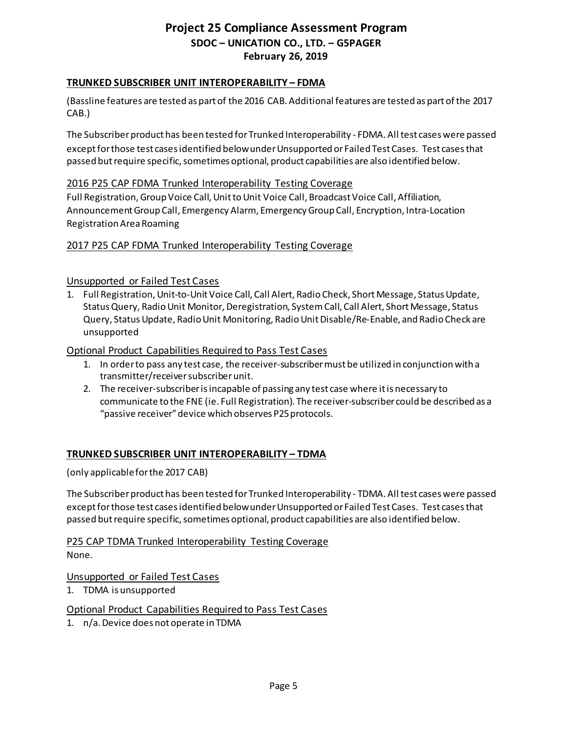#### **TRUNKED SUBSCRIBER UNIT INTEROPERABILITY – FDMA**

(Bassline features are tested as part of the 2016 CAB. Additional features are tested as part of the 2017 CAB.)

The Subscriberproduct has been tested forTrunked Interoperability - FDMA. All test cases were passed except for those test cases identified below under Unsupported or Failed Test Cases. Test cases that passed but require specific, sometimes optional, product capabilities are also identified below.

#### 2016 P25 CAP FDMA Trunked Interoperability Testing Coverage

Full Registration, Group Voice Call, Unit to Unit Voice Call, Broadcast Voice Call, Affiliation, Announcement Group Call, Emergency Alarm, Emergency Group Call, Encryption, Intra-Location Registration Area Roaming

#### 2017 P25 CAP FDMA Trunked Interoperability Testing Coverage

#### Unsupported or Failed Test Cases

1. Full Registration, Unit-to-Unit Voice Call, Call Alert, Radio Check, Short Message, Status Update, Status Query, Radio Unit Monitor,Deregistration, System Call, Call Alert, Short Message, Status Query, Status Update, Radio Unit Monitoring, Radio Unit Disable/Re-Enable, and Radio Check are unsupported

#### Optional Product Capabilities Required to Pass Test Cases

- 1. In order to pass any test case, the receiver-subscriber must be utilized in conjunction with a transmitter/receiver subscriber unit.
- 2. The receiver-subscriber is incapable of passing any test case where it is necessary to communicate to the FNE (ie. Full Registration). The receiver-subscriber could be described as a "passive receiver" device which observes P25 protocols.

# **TRUNKED SUBSCRIBER UNIT INTEROPERABILITY – TDMA**

(only applicable for the 2017 CAB)

The Subscriber product has been tested for Trunked Interoperability - TDMA. All test cases were passed except for those test cases identified below under Unsupported or Failed Test Cases. Test cases that passed but require specific, sometimes optional, product capabilities are also identified below.

P25 CAP TDMA Trunked Interoperability Testing Coverage None.

#### Unsupported or Failed Test Cases

1. TDMA is unsupported

# Optional Product Capabilities Required to Pass Test Cases

1. n/a. Device does not operate in TDMA